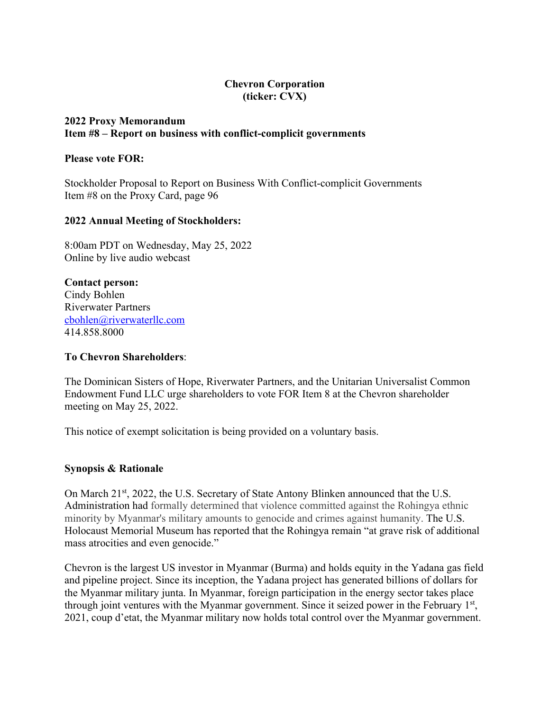# **Chevron Corporation (ticker: CVX)**

#### **2022 Proxy Memorandum Item #8 – Report on business with conflict-complicit governments**

### **Please vote FOR:**

Stockholder Proposal to Report on Business With Conflict-complicit Governments Item #8 on the Proxy Card, page 96

#### **2022 Annual Meeting of Stockholders:**

8:00am PDT on Wednesday, May 25, 2022 Online by live audio webcast

**Contact person:** Cindy Bohlen Riverwater Partners cbohlen@riverwaterllc.com 414.858.8000

#### **To Chevron Shareholders**:

The Dominican Sisters of Hope, Riverwater Partners, and the Unitarian Universalist Common Endowment Fund LLC urge shareholders to vote FOR Item 8 at the Chevron shareholder meeting on May 25, 2022.

This notice of exempt solicitation is being provided on a voluntary basis.

#### **Synopsis & Rationale**

On March 21<sup>st</sup>, 2022, the U.S. Secretary of State Antony Blinken announced that the U.S. Administration had formally determined that violence committed against the Rohingya ethnic minority by Myanmar's military amounts to genocide and crimes against humanity. The U.S. Holocaust Memorial Museum has reported that the Rohingya remain "at grave risk of additional mass atrocities and even genocide."

Chevron is the largest US investor in Myanmar (Burma) and holds equity in the Yadana gas field and pipeline project. Since its inception, the Yadana project has generated billions of dollars for the Myanmar military junta. In Myanmar, foreign participation in the energy sector takes place through joint ventures with the Myanmar government. Since it seized power in the February 1<sup>st</sup>, 2021, coup d'etat, the Myanmar military now holds total control over the Myanmar government.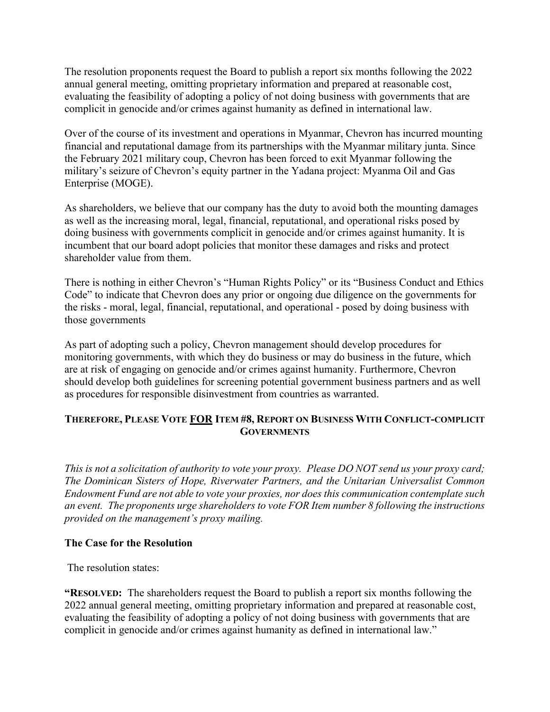The resolution proponents request the Board to publish a report six months following the 2022 annual general meeting, omitting proprietary information and prepared at reasonable cost, evaluating the feasibility of adopting a policy of not doing business with governments that are complicit in genocide and/or crimes against humanity as defined in international law.

Over of the course of its investment and operations in Myanmar, Chevron has incurred mounting financial and reputational damage from its partnerships with the Myanmar military junta. Since the February 2021 military coup, Chevron has been forced to exit Myanmar following the military's seizure of Chevron's equity partner in the Yadana project: Myanma Oil and Gas Enterprise (MOGE).

As shareholders, we believe that our company has the duty to avoid both the mounting damages as well as the increasing moral, legal, financial, reputational, and operational risks posed by doing business with governments complicit in genocide and/or crimes against humanity. It is incumbent that our board adopt policies that monitor these damages and risks and protect shareholder value from them.

There is nothing in either Chevron's "Human Rights Policy" or its "Business Conduct and Ethics Code" to indicate that Chevron does any prior or ongoing due diligence on the governments for the risks - moral, legal, financial, reputational, and operational - posed by doing business with those governments

As part of adopting such a policy, Chevron management should develop procedures for monitoring governments, with which they do business or may do business in the future, which are at risk of engaging on genocide and/or crimes against humanity. Furthermore, Chevron should develop both guidelines for screening potential government business partners and as well as procedures for responsible disinvestment from countries as warranted.

# **THEREFORE, PLEASE VOTE FOR ITEM #8, REPORT ON BUSINESS WITH CONFLICT-COMPLICIT GOVERNMENTS**

*This is not a solicitation of authority to vote your proxy. Please DO NOT send us your proxy card; The Dominican Sisters of Hope, Riverwater Partners, and the Unitarian Universalist Common Endowment Fund are not able to vote your proxies, nor does this communication contemplate such an event. The proponents urge shareholders to vote FOR Item number 8 following the instructions provided on the management's proxy mailing.*

# **The Case for the Resolution**

The resolution states:

**"RESOLVED:** The shareholders request the Board to publish a report six months following the 2022 annual general meeting, omitting proprietary information and prepared at reasonable cost, evaluating the feasibility of adopting a policy of not doing business with governments that are complicit in genocide and/or crimes against humanity as defined in international law."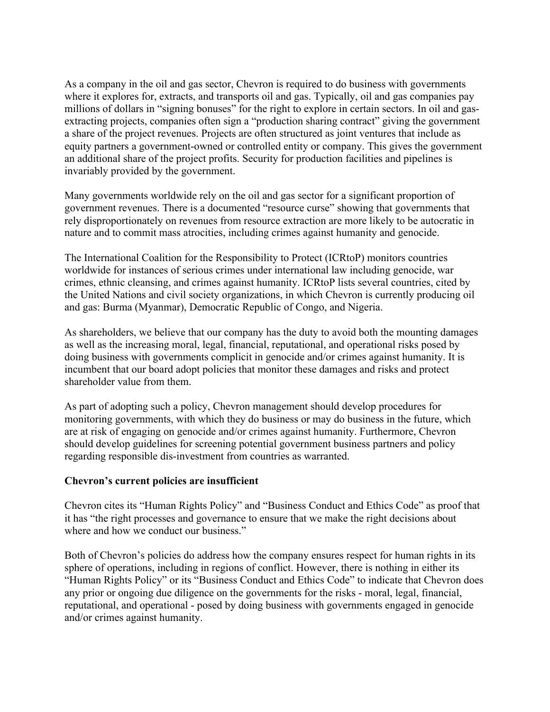As a company in the oil and gas sector, Chevron is required to do business with governments where it explores for, extracts, and transports oil and gas. Typically, oil and gas companies pay millions of dollars in "signing bonuses" for the right to explore in certain sectors. In oil and gasextracting projects, companies often sign a "production sharing contract" giving the government a share of the project revenues. Projects are often structured as joint ventures that include as equity partners a government-owned or controlled entity or company. This gives the government an additional share of the project profits. Security for production facilities and pipelines is invariably provided by the government.

Many governments worldwide rely on the oil and gas sector for a significant proportion of government revenues. There is a documented "resource curse" showing that governments that rely disproportionately on revenues from resource extraction are more likely to be autocratic in nature and to commit mass atrocities, including crimes against humanity and genocide.

The International Coalition for the Responsibility to Protect (ICRtoP) monitors countries worldwide for instances of serious crimes under international law including genocide, war crimes, ethnic cleansing, and crimes against humanity. ICRtoP lists several countries, cited by the United Nations and civil society organizations, in which Chevron is currently producing oil and gas: Burma (Myanmar), Democratic Republic of Congo, and Nigeria.

As shareholders, we believe that our company has the duty to avoid both the mounting damages as well as the increasing moral, legal, financial, reputational, and operational risks posed by doing business with governments complicit in genocide and/or crimes against humanity. It is incumbent that our board adopt policies that monitor these damages and risks and protect shareholder value from them.

As part of adopting such a policy, Chevron management should develop procedures for monitoring governments, with which they do business or may do business in the future, which are at risk of engaging on genocide and/or crimes against humanity. Furthermore, Chevron should develop guidelines for screening potential government business partners and policy regarding responsible dis-investment from countries as warranted.

#### **Chevron's current policies are insufficient**

Chevron cites its "Human Rights Policy" and "Business Conduct and Ethics Code" as proof that it has "the right processes and governance to ensure that we make the right decisions about where and how we conduct our business."

Both of Chevron's policies do address how the company ensures respect for human rights in its sphere of operations, including in regions of conflict. However, there is nothing in either its "Human Rights Policy" or its "Business Conduct and Ethics Code" to indicate that Chevron does any prior or ongoing due diligence on the governments for the risks - moral, legal, financial, reputational, and operational - posed by doing business with governments engaged in genocide and/or crimes against humanity.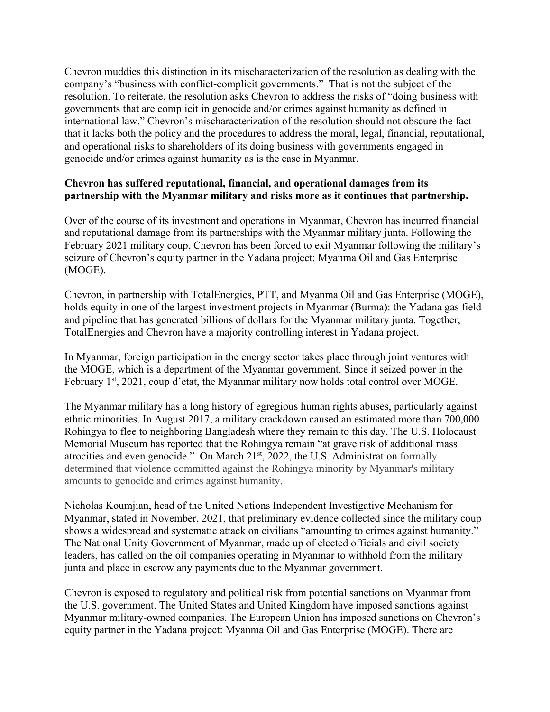Chevron muddies this distinction in its mischaracterization of the resolution as dealing with the company's "business with conflict-complicit governments." That is not the subject of the resolution. To reiterate, the resolution asks Chevron to address the risks of "doing business with governments that are complicit in genocide and/or crimes against humanity as defined in international law." Chevron's mischaracterization of the resolution should not obscure the fact that it lacks both the policy and the procedures to address the moral, legal, financial, reputational, and operational risks to shareholders of its doing business with governments engaged in genocide and/or crimes against humanity as is the case in Myanmar.

# **Chevron has suffered reputational, financial, and operational damages from its partnership with the Myanmar military and risks more as it continues that partnership.**

Over of the course of its investment and operations in Myanmar, Chevron has incurred financial and reputational damage from its partnerships with the Myanmar military junta. Following the February 2021 military coup, Chevron has been forced to exit Myanmar following the military's seizure of Chevron's equity partner in the Yadana project: Myanma Oil and Gas Enterprise (MOGE).

Chevron, in partnership with TotalEnergies, PTT, and Myanma Oil and Gas Enterprise (MOGE), holds equity in one of the largest investment projects in Myanmar (Burma): the Yadana gas field and pipeline that has generated billions of dollars for the Myanmar military junta. Together, TotalEnergies and Chevron have a majority controlling interest in Yadana project.

In Myanmar, foreign participation in the energy sector takes place through joint ventures with the MOGE, which is a department of the Myanmar government. Since it seized power in the February 1<sup>st</sup>, 2021, coup d'etat, the Myanmar military now holds total control over MOGE.

The Myanmar military has a long history of egregious human rights abuses, particularly against ethnic minorities. In August 2017, a military crackdown caused an estimated more than 700,000 Rohingya to flee to neighboring Bangladesh where they remain to this day. The U.S. Holocaust Memorial Museum has reported that the Rohingya remain "at grave risk of additional mass atrocities and even genocide." On March 21st, 2022, the U.S. Administration formally determined that violence committed against the Rohingya minority by Myanmar's military amounts to genocide and crimes against humanity.

Nicholas Koumjian, head of the United Nations Independent Investigative Mechanism for Myanmar, stated in November, 2021, that preliminary evidence collected since the military coup shows a widespread and systematic attack on civilians "amounting to crimes against humanity." The National Unity Government of Myanmar, made up of elected officials and civil society leaders, has called on the oil companies operating in Myanmar to withhold from the military junta and place in escrow any payments due to the Myanmar government.

Chevron is exposed to regulatory and political risk from potential sanctions on Myanmar from the U.S. government. The United States and United Kingdom have imposed sanctions against Myanmar military-owned companies. The European Union has imposed sanctions on Chevron's equity partner in the Yadana project: Myanma Oil and Gas Enterprise (MOGE). There are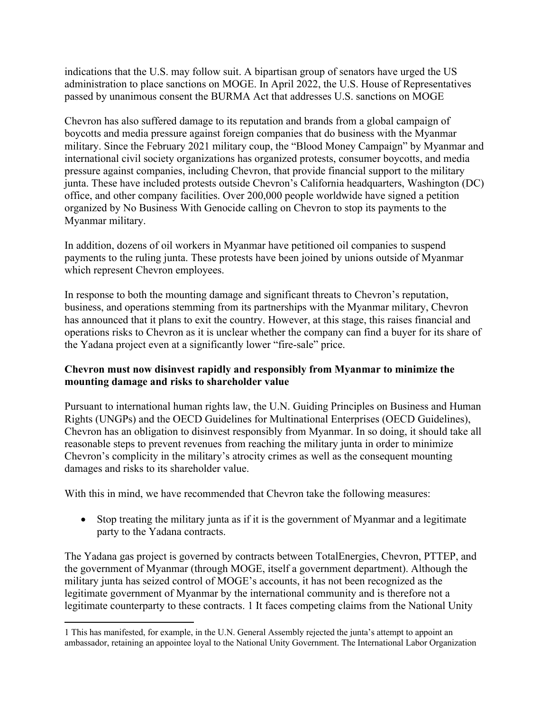indications that the U.S. may follow suit. A bipartisan group of senators have urged the US administration to place sanctions on MOGE. In April 2022, the U.S. House of Representatives passed by unanimous consent the BURMA Act that addresses U.S. sanctions on MOGE

Chevron has also suffered damage to its reputation and brands from a global campaign of boycotts and media pressure against foreign companies that do business with the Myanmar military. Since the February 2021 military coup, the "Blood Money Campaign" by Myanmar and international civil society organizations has organized protests, consumer boycotts, and media pressure against companies, including Chevron, that provide financial support to the military junta. These have included protests outside Chevron's California headquarters, Washington (DC) office, and other company facilities. Over 200,000 people worldwide have signed a petition organized by No Business With Genocide calling on Chevron to stop its payments to the Myanmar military.

In addition, dozens of oil workers in Myanmar have petitioned oil companies to suspend payments to the ruling junta. These protests have been joined by unions outside of Myanmar which represent Chevron employees.

In response to both the mounting damage and significant threats to Chevron's reputation, business, and operations stemming from its partnerships with the Myanmar military, Chevron has announced that it plans to exit the country. However, at this stage, this raises financial and operations risks to Chevron as it is unclear whether the company can find a buyer for its share of the Yadana project even at a significantly lower "fire-sale" price.

#### **Chevron must now disinvest rapidly and responsibly from Myanmar to minimize the mounting damage and risks to shareholder value**

Pursuant to international human rights law, the U.N. Guiding Principles on Business and Human Rights (UNGPs) and the OECD Guidelines for Multinational Enterprises (OECD Guidelines), Chevron has an obligation to disinvest responsibly from Myanmar. In so doing, it should take all reasonable steps to prevent revenues from reaching the military junta in order to minimize Chevron's complicity in the military's atrocity crimes as well as the consequent mounting damages and risks to its shareholder value.

With this in mind, we have recommended that Chevron take the following measures:

• Stop treating the military junta as if it is the government of Myanmar and a legitimate party to the Yadana contracts.

The Yadana gas project is governed by contracts between TotalEnergies, Chevron, PTTEP, and the government of Myanmar (through MOGE, itself a government department). Although the military junta has seized control of MOGE's accounts, it has not been recognized as the legitimate government of Myanmar by the international community and is therefore not a legitimate counterparty to these contracts. 1 It faces competing claims from the National Unity

<sup>1</sup> This has manifested, for example, in the U.N. General Assembly rejected the junta's attempt to appoint an ambassador, retaining an appointee loyal to the National Unity Government. The International Labor Organization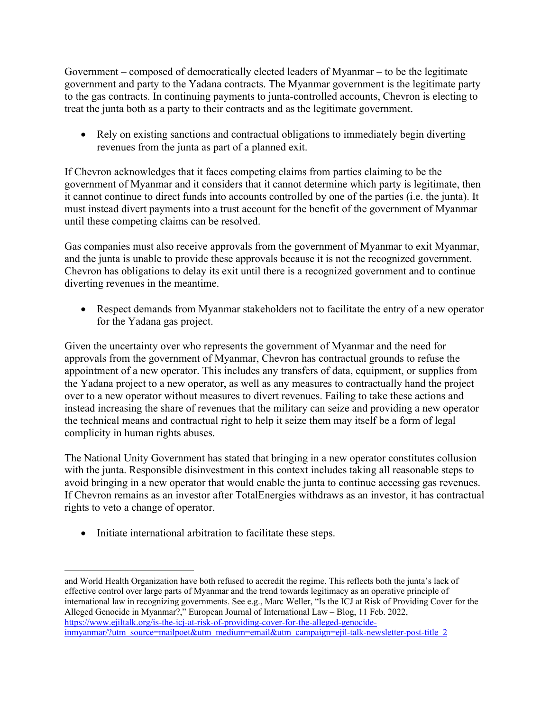Government – composed of democratically elected leaders of Myanmar – to be the legitimate government and party to the Yadana contracts. The Myanmar government is the legitimate party to the gas contracts. In continuing payments to junta-controlled accounts, Chevron is electing to treat the junta both as a party to their contracts and as the legitimate government.

• Rely on existing sanctions and contractual obligations to immediately begin diverting revenues from the junta as part of a planned exit.

If Chevron acknowledges that it faces competing claims from parties claiming to be the government of Myanmar and it considers that it cannot determine which party is legitimate, then it cannot continue to direct funds into accounts controlled by one of the parties (i.e. the junta). It must instead divert payments into a trust account for the benefit of the government of Myanmar until these competing claims can be resolved.

Gas companies must also receive approvals from the government of Myanmar to exit Myanmar, and the junta is unable to provide these approvals because it is not the recognized government. Chevron has obligations to delay its exit until there is a recognized government and to continue diverting revenues in the meantime.

• Respect demands from Myanmar stakeholders not to facilitate the entry of a new operator for the Yadana gas project.

Given the uncertainty over who represents the government of Myanmar and the need for approvals from the government of Myanmar, Chevron has contractual grounds to refuse the appointment of a new operator. This includes any transfers of data, equipment, or supplies from the Yadana project to a new operator, as well as any measures to contractually hand the project over to a new operator without measures to divert revenues. Failing to take these actions and instead increasing the share of revenues that the military can seize and providing a new operator the technical means and contractual right to help it seize them may itself be a form of legal complicity in human rights abuses.

The National Unity Government has stated that bringing in a new operator constitutes collusion with the junta. Responsible disinvestment in this context includes taking all reasonable steps to avoid bringing in a new operator that would enable the junta to continue accessing gas revenues. If Chevron remains as an investor after TotalEnergies withdraws as an investor, it has contractual rights to veto a change of operator.

• Initiate international arbitration to facilitate these steps.

and World Health Organization have both refused to accredit the regime. This reflects both the junta's lack of effective control over large parts of Myanmar and the trend towards legitimacy as an operative principle of international law in recognizing governments. See e.g., Marc Weller, "Is the ICJ at Risk of Providing Cover for the Alleged Genocide in Myanmar?," European Journal of International Law – Blog, 11 Feb. 2022, https://www.ejiltalk.org/is-the-icj-at-risk-of-providing-cover-for-the-alleged-genocideinmyanmar/?utm\_source=mailpoet&utm\_medium=email&utm\_campaign=ejil-talk-newsletter-post-title\_2